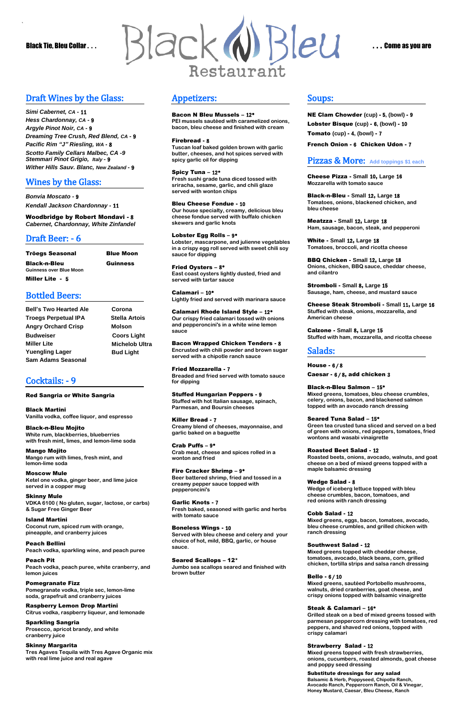*`* 



# Draft Wines by the Glass:

*Simi Cabernet, CA* **-** 11 *Hess Chardonnay, CA* **-** 9 *Argyle Pinot Noir, CA* **-** 9 *Dreaming Tree Crush, Red Blend, CA* **-** 9 *Pacific Rim "J" Riesling, WA* **-** 8 *Scotto Family Cellars Malbec, CA -9 Stemmari Pinot Grigio, Italy* **-** 9 *Wither Hills Sauv. Blanc, New Zealand* **-** 9

# Wines by the Glass:

*Bonvia Moscato -* <sup>9</sup> *Kendall Jackson Chardonnay -* 11

Woodbridge by Robert Mondavi - 8 *Cabernet, Chardonnay, White Zinfandel*

# Draft Beer: - 6

| Tröegs Seasonal                                | <b>Blue Moon</b> |
|------------------------------------------------|------------------|
| Black-n-Bleu<br><b>Guinness over Blue Moon</b> | Guinness         |
| Miller Lite - 5                                |                  |

# Bottled Beers:

**Bell's Two Hearted Ale Corona Troegs Perpetual IPA Stella Artois Angry Orchard Crisp Molson Budweiser Coors Light Miller Lite Yuengling Lager**

**Sam Adams Seasonal** 

 **Michelob Ultra Bud Light**

# Cocktails: - 9

#### Red Sangria or White Sangria

Black Martini **Vanilla vodka, coffee liquor, and espresso**

Black-n-Bleu Mojito **White rum, blackberries, blueberries with fresh mint, limes, and lemon-lime soda**

Mango Mojito **Mango rum with limes, fresh mint, and lemon-lime soda**

Moscow Mule **Ketel one vodka, ginger beer, and lime juice served in a copper mug**

Skinny Mule **VDKA 6100 ( No gluten, sugar, lactose, or carbs) & Sugar Free Ginger Beer**

Island Martini **Coconut rum, spiced rum with orange,** 

**pineapple, and cranberry juices**

#### Peach Bellini

**Peach vodka, sparkling wine, and peach puree**

#### Peach Pit

**Peach vodka, peach puree, white cranberry, and lemon juices**

#### Pomegranate Fizz

**Pomegranate vodka, triple sec, lemon-lime soda, grapefruit and cranberry juices**

#### Raspberry Lemon Drop Martini

**Citrus vodka, raspberry liqueur, and lemonade**

# Sparkling Sangria

**Prosecco, apricot brandy, and white cranberry juice**

#### Skinny Margarita **Tres Agaves Tequila with Tres Agave Organic mix with real lime juice and real agave**

# Appetizers:

Bacon N Bleu Mussels – 12\* **PEI mussels sautéed with caramelized onions, bacon, bleu cheese and finished with cream**

Firebread - 8

**Tuscan loaf baked golden brown with garlic butter, cheeses, and hot spices served with spicy garlic oil for dipping**

Spicy Tuna – 12\* **Fresh sushi grade tuna diced tossed with sriracha, sesame, garlic, and chili glaze served with wonton chips**

Bleu Cheese Fondue - 10 **Our house specialty, creamy, delicious bleu cheese fondue served with buffalo chicken skewers and garlic knots**

#### Lobster Egg Rolls – 9\* **Lobster, mascarpone, and julienne vegetables in a crispy egg roll served with sweet chili soy sauce for dipping**

Fried Oysters – 8\* **East coast oysters lightly dusted, fried and served with tartar sauce**

Calamari – 10\* **Lightly fried and served with marinara sauce**

Calamari Rhode Island Style – 12\* **Our crispy fried calamari tossed with onions and pepperoncini's in a white wine lemon sauce**

Bacon Wrapped Chicken Tenders - 8 **Encrusted with chili powder and brown sugar served with a chipotle ranch sauce**

Fried Mozzarella - 7 **Breaded and fried served with tomato sauce for dipping**

Stuffed Hungarian Peppers - 9 **Stuffed with hot Italian sausage, spinach, Parmesan, and Boursin cheeses**

Killer Bread - 7 **Creamy blend of cheeses, mayonnaise, and garlic baked on a baguette**

Crab Puffs – 9\* **Crab meat, cheese and spices rolled in a wonton and fried**

Fire Cracker Shrimp – 9\* **Beer battered shrimp, fried and tossed in a creamy pepper sauce topped with pepperoncini's**

Garlic Knots - 7 **Fresh baked, seasoned with garlic and herbs with tomato sauce**

#### Boneless Wings - 10

**Served with bleu cheese and celery and your choice of hot, mild, BBQ, garlic, or house sauce.**

#### Seared Scallops – 12\*

**Jumbo sea scallops seared and finished with brown butter**

# Soups:

NE Clam Chowder **(cup)** - 5**, (bowl)** - 9 Lobster Bisque **(cup)** - 6**, (bowl)** - 10 Tomato **(cup)** - 4**, (bowl)** - 7

French Onion - 6 Chicken Udon - 7

# Pizzas & More: **Add toppings \$1 each**

Cheese Pizza - **Small** 10, **Large** 16 **Mozzarella with tomato sauce**

Black-n-Bleu - **Small** 12, **Large** 18 **Tomatoes, onions, blackened chicken, and bleu cheese**

Meatzza - **Small** 12, **Large** 18 **Ham, sausage, bacon, steak, and pepperoni**

White - **Small** 12, **Large** 18 **Tomatoes, broccoli, and ricotta cheese**

BBQ Chicken - **Small** 12, **Large** 18 **Onions, chicken, BBQ sauce, cheddar cheese, and cilantro**

Stromboli - **Small** 8, **Large** 15 **Sausage, ham, cheese, and mustard sauce**

Cheese Steak Stromboli - **Small** 11, **Large** 16 **Stuffed with steak, onions, mozzarella, and American cheese**

Calzone - **Small** 8, **Large** 15 **Stuffed with ham, mozzarella, and ricotta cheese**

# Salads:

#### House - 6 / 8

Caesar - 6 / 8, add chicken 3

Black-n-Bleu Salmon – 15\* **Mixed greens, tomatoes, bleu cheese crumbles, celery, onions, bacon, and blackened salmon topped with an avocado ranch dressing**

Seared Tuna Salad – 15\*

**Green tea crusted tuna sliced and served on a bed of green with onions, red peppers, tomatoes, fried wontons and wasabi vinaigrette**

Roasted Beet Salad - 12

**Roasted beets, onions, avocado, walnuts, and goat cheese on a bed of mixed greens topped with a maple balsamic dressing**

Wedge Salad - 8 **Wedge of iceberg lettuce topped with bleu cheese crumbles, bacon, tomatoes, and red onions with ranch dressing**

# Cobb Salad - 12

**Mixed greens, eggs, bacon, tomatoes, avocado, bleu cheese crumbles, and grilled chicken with** 

**ranch dressing**

#### Southwest Salad - 12

**Mixed greens topped with cheddar cheese, tomatoes, avocado, black beans, corn, grilled chicken, tortilla strips and salsa ranch dressing**

#### Bello - 6 / 10

**Mixed greens, sautéed Portobello mushrooms, walnuts, dried cranberries, goat cheese, and crispy onions topped with balsamic vinaigrette**

#### Steak & Calamari – 16\*

**Grilled steak on a bed of mixed greens tossed with parmesan peppercorn dressing with tomatoes, red peppers, and shaved red onions, topped with crispy calamari**

#### Strawberry Salad - 12

**Mixed greens topped with fresh strawberries, onions, cucumbers, roasted almonds, goat cheese and poppy seed dressing**

#### Substitute dressings for any salad

**Balsamic & Herb, Poppyseed, Chipotle Ranch, Avocado Ranch, Peppercorn Ranch, Oil & Vinegar, Honey Mustard, Caesar, Bleu Cheese, Ranch**